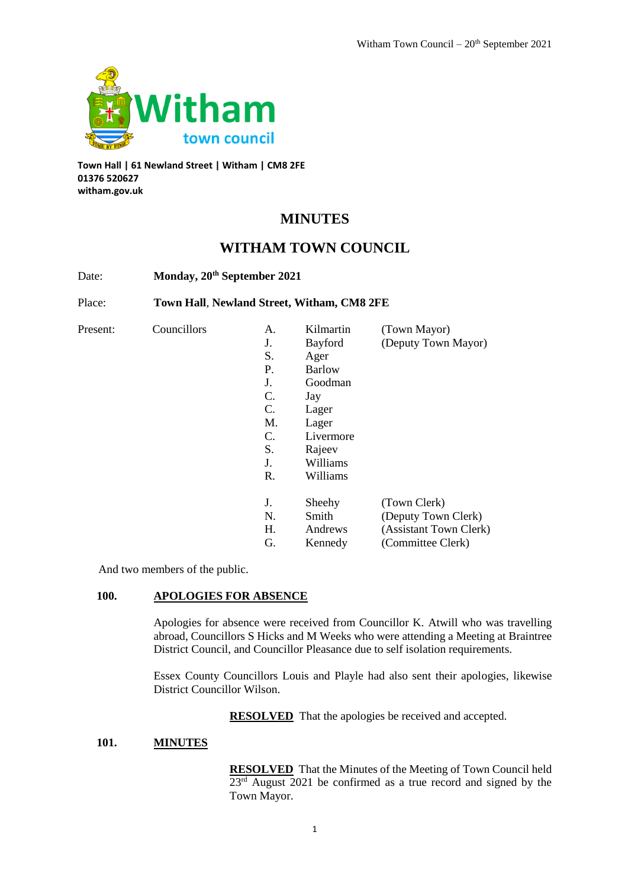

**Town Hall | 61 Newland Street | Witham | CM8 2FE 01376 520627 witham.gov.uk**

# **MINUTES**

# **WITHAM TOWN COUNCIL**

Date: **Monday, 20th September 2021**

Place: **Town Hall**, **Newland Street, Witham, CM8 2FE**

| Present: | Councillors | A. | Kilmartin      | (Town Mayor)           |
|----------|-------------|----|----------------|------------------------|
|          |             | J. | <b>Bayford</b> | (Deputy Town Mayor)    |
|          |             | S. | Ager           |                        |
|          |             | Ρ. | <b>Barlow</b>  |                        |
|          |             | J. | Goodman        |                        |
|          |             | C. | Jay            |                        |
|          |             | C. | Lager          |                        |
|          |             | M. | Lager          |                        |
|          |             | C. | Livermore      |                        |
|          |             | S. | Rajeev         |                        |
|          |             | J. | Williams       |                        |
|          |             | R. | Williams       |                        |
|          |             | J. | Sheehy         | (Town Clerk)           |
|          |             | N. | Smith          | (Deputy Town Clerk)    |
|          |             | H. | Andrews        | (Assistant Town Clerk) |
|          |             | G. | Kennedy        | (Committee Clerk)      |

And two members of the public.

# **100. APOLOGIES FOR ABSENCE**

Apologies for absence were received from Councillor K. Atwill who was travelling abroad, Councillors S Hicks and M Weeks who were attending a Meeting at Braintree District Council, and Councillor Pleasance due to self isolation requirements.

Essex County Councillors Louis and Playle had also sent their apologies, likewise District Councillor Wilson.

**RESOLVED** That the apologies be received and accepted.

#### **101. MINUTES**

**RESOLVED** That the Minutes of the Meeting of Town Council held 23<sup>rd</sup> August 2021 be confirmed as a true record and signed by the Town Mayor.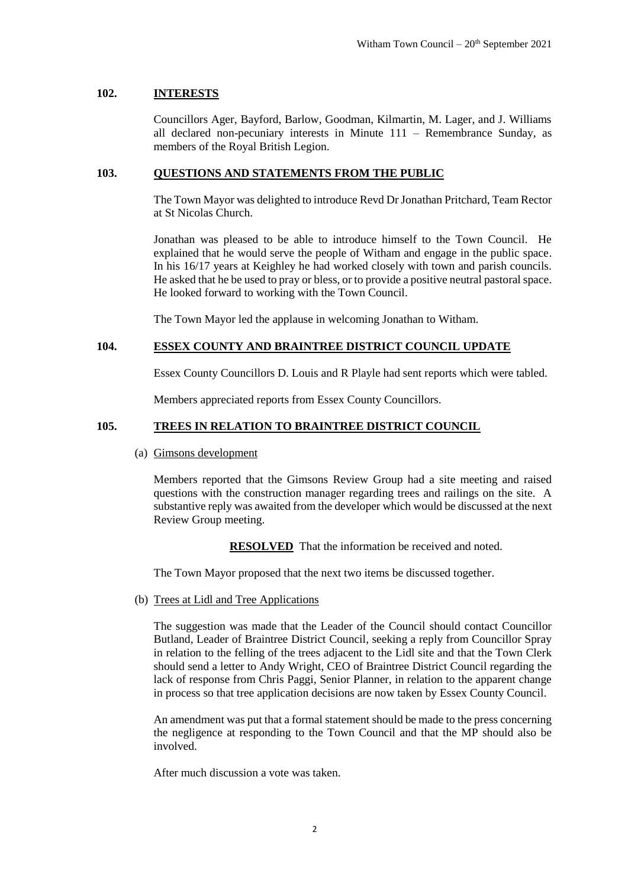#### **102. INTERESTS**

Councillors Ager, Bayford, Barlow, Goodman, Kilmartin, M. Lager, and J. Williams all declared non-pecuniary interests in Minute 111 – Remembrance Sunday, as members of the Royal British Legion.

#### **103. QUESTIONS AND STATEMENTS FROM THE PUBLIC**

The Town Mayor was delighted to introduce Revd Dr Jonathan Pritchard, Team Rector at St Nicolas Church.

Jonathan was pleased to be able to introduce himself to the Town Council. He explained that he would serve the people of Witham and engage in the public space. In his 16/17 years at Keighley he had worked closely with town and parish councils. He asked that he be used to pray or bless, or to provide a positive neutral pastoral space. He looked forward to working with the Town Council.

The Town Mayor led the applause in welcoming Jonathan to Witham.

### **104. ESSEX COUNTY AND BRAINTREE DISTRICT COUNCIL UPDATE**

Essex County Councillors D. Louis and R Playle had sent reports which were tabled.

Members appreciated reports from Essex County Councillors.

#### **105. TREES IN RELATION TO BRAINTREE DISTRICT COUNCIL**

(a) Gimsons development

Members reported that the Gimsons Review Group had a site meeting and raised questions with the construction manager regarding trees and railings on the site. A substantive reply was awaited from the developer which would be discussed at the next Review Group meeting.

**RESOLVED** That the information be received and noted.

The Town Mayor proposed that the next two items be discussed together.

(b) Trees at Lidl and Tree Applications

The suggestion was made that the Leader of the Council should contact Councillor Butland, Leader of Braintree District Council, seeking a reply from Councillor Spray in relation to the felling of the trees adjacent to the Lidl site and that the Town Clerk should send a letter to Andy Wright, CEO of Braintree District Council regarding the lack of response from Chris Paggi, Senior Planner, in relation to the apparent change in process so that tree application decisions are now taken by Essex County Council.

An amendment was put that a formal statement should be made to the press concerning the negligence at responding to the Town Council and that the MP should also be involved.

After much discussion a vote was taken.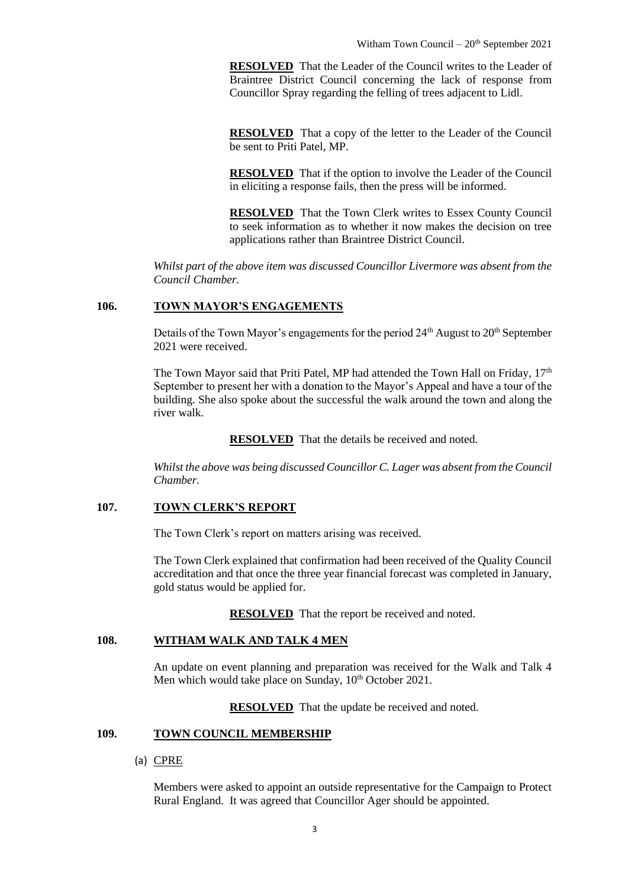**RESOLVED** That the Leader of the Council writes to the Leader of Braintree District Council concerning the lack of response from Councillor Spray regarding the felling of trees adjacent to Lidl.

**RESOLVED** That a copy of the letter to the Leader of the Council be sent to Priti Patel, MP.

**RESOLVED** That if the option to involve the Leader of the Council in eliciting a response fails, then the press will be informed.

**RESOLVED** That the Town Clerk writes to Essex County Council to seek information as to whether it now makes the decision on tree applications rather than Braintree District Council.

*Whilst part of the above item was discussed Councillor Livermore was absent from the Council Chamber.*

# **106. TOWN MAYOR'S ENGAGEMENTS**

Details of the Town Mayor's engagements for the period  $24<sup>th</sup>$  August to  $20<sup>th</sup>$  September 2021 were received.

The Town Mayor said that Priti Patel, MP had attended the Town Hall on Friday,  $17<sup>th</sup>$ September to present her with a donation to the Mayor's Appeal and have a tour of the building. She also spoke about the successful the walk around the town and along the river walk.

**RESOLVED** That the details be received and noted.

*Whilst the above was being discussed Councillor C. Lager was absent from the Council Chamber.*

# **107. TOWN CLERK'S REPORT**

The Town Clerk's report on matters arising was received.

The Town Clerk explained that confirmation had been received of the Quality Council accreditation and that once the three year financial forecast was completed in January, gold status would be applied for.

**RESOLVED** That the report be received and noted.

# **108. WITHAM WALK AND TALK 4 MEN**

An update on event planning and preparation was received for the Walk and Talk 4 Men which would take place on Sunday,  $10^{th}$  October 2021.

**RESOLVED** That the update be received and noted.

# **109. TOWN COUNCIL MEMBERSHIP**

## (a) CPRE

Members were asked to appoint an outside representative for the Campaign to Protect Rural England. It was agreed that Councillor Ager should be appointed.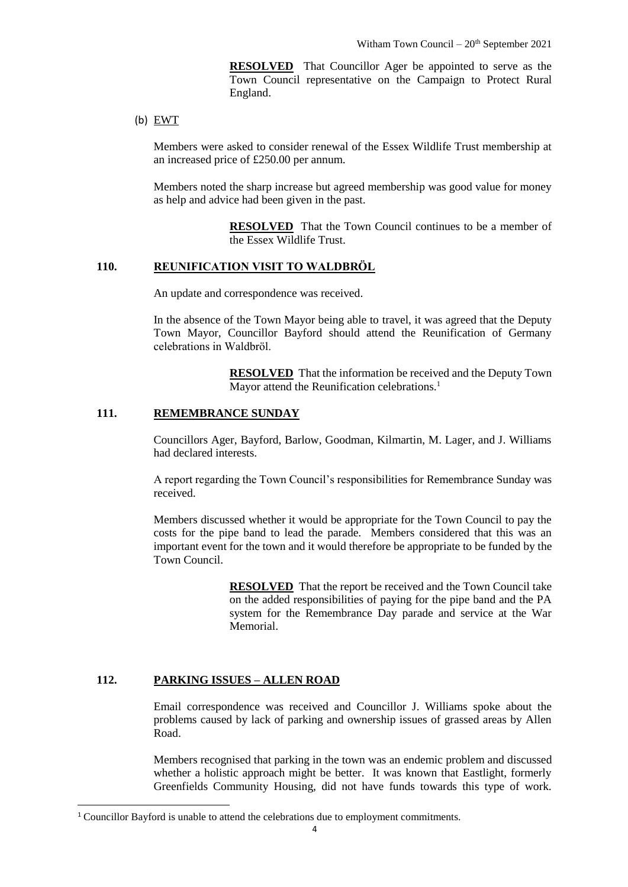**RESOLVED** That Councillor Ager be appointed to serve as the Town Council representative on the Campaign to Protect Rural England.

(b)  $EWT$ 

Members were asked to consider renewal of the Essex Wildlife Trust membership at an increased price of £250.00 per annum.

Members noted the sharp increase but agreed membership was good value for money as help and advice had been given in the past.

> **RESOLVED** That the Town Council continues to be a member of the Essex Wildlife Trust.

#### **110. REUNIFICATION VISIT TO WALDBRӦL**

An update and correspondence was received.

In the absence of the Town Mayor being able to travel, it was agreed that the Deputy Town Mayor, Councillor Bayford should attend the Reunification of Germany celebrations in Waldbrӧl.

> **RESOLVED** That the information be received and the Deputy Town Mayor attend the Reunification celebrations.<sup>1</sup>

## **111. REMEMBRANCE SUNDAY**

Councillors Ager, Bayford, Barlow, Goodman, Kilmartin, M. Lager, and J. Williams had declared interests.

A report regarding the Town Council's responsibilities for Remembrance Sunday was received.

Members discussed whether it would be appropriate for the Town Council to pay the costs for the pipe band to lead the parade. Members considered that this was an important event for the town and it would therefore be appropriate to be funded by the Town Council.

> **RESOLVED** That the report be received and the Town Council take on the added responsibilities of paying for the pipe band and the PA system for the Remembrance Day parade and service at the War Memorial.

### **112. PARKING ISSUES – ALLEN ROAD**

 $\overline{a}$ 

Email correspondence was received and Councillor J. Williams spoke about the problems caused by lack of parking and ownership issues of grassed areas by Allen Road.

Members recognised that parking in the town was an endemic problem and discussed whether a holistic approach might be better. It was known that Eastlight, formerly Greenfields Community Housing, did not have funds towards this type of work.

<sup>1</sup> Councillor Bayford is unable to attend the celebrations due to employment commitments.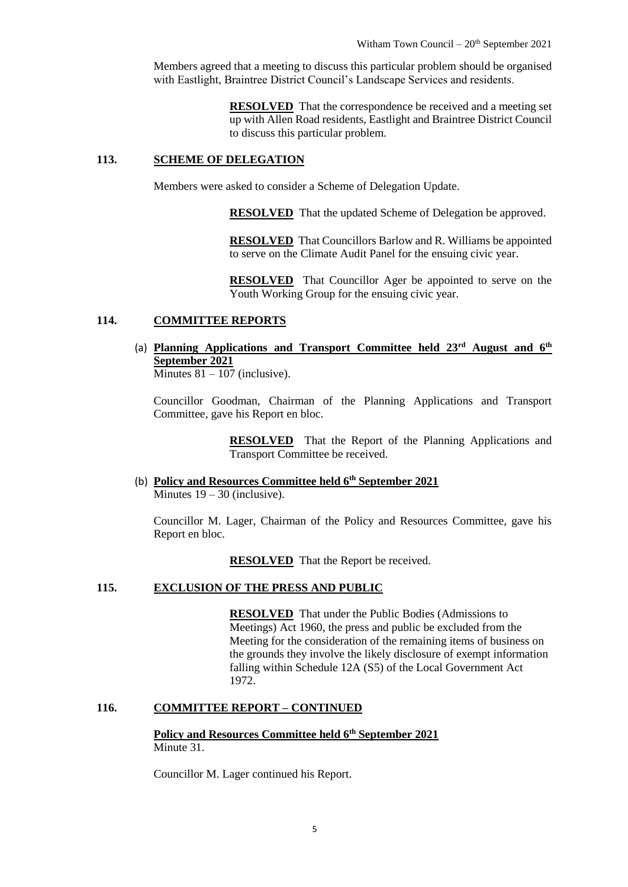Members agreed that a meeting to discuss this particular problem should be organised with Eastlight, Braintree District Council's Landscape Services and residents.

> **RESOLVED** That the correspondence be received and a meeting set up with Allen Road residents, Eastlight and Braintree District Council to discuss this particular problem.

#### **113. SCHEME OF DELEGATION**

Members were asked to consider a Scheme of Delegation Update.

**RESOLVED** That the updated Scheme of Delegation be approved.

**RESOLVED** That Councillors Barlow and R. Williams be appointed to serve on the Climate Audit Panel for the ensuing civic year.

**RESOLVED** That Councillor Ager be appointed to serve on the Youth Working Group for the ensuing civic year.

# **114. COMMITTEE REPORTS**

(a) **Planning Applications and Transport Committee held 23rd August and 6th September 2021**

Minutes  $81 - 107$  (inclusive).

Councillor Goodman, Chairman of the Planning Applications and Transport Committee, gave his Report en bloc.

> **RESOLVED** That the Report of the Planning Applications and Transport Committee be received.

(b) **Policy and Resources Committee held 6th September 2021** Minutes  $19 - 30$  (inclusive).

Councillor M. Lager, Chairman of the Policy and Resources Committee, gave his Report en bloc.

**RESOLVED** That the Report be received.

# **115. EXCLUSION OF THE PRESS AND PUBLIC**

**RESOLVED** That under the Public Bodies (Admissions to Meetings) Act 1960, the press and public be excluded from the Meeting for the consideration of the remaining items of business on the grounds they involve the likely disclosure of exempt information falling within Schedule 12A (S5) of the Local Government Act 1972.

#### **116. COMMITTEE REPORT – CONTINUED**

# **Policy and Resources Committee held 6th September 2021** Minute 31.

Councillor M. Lager continued his Report.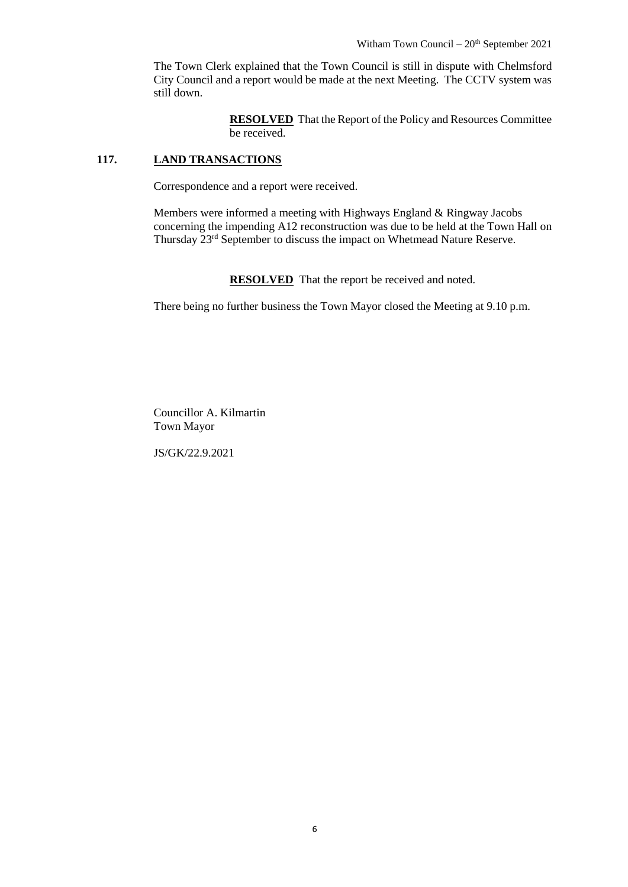The Town Clerk explained that the Town Council is still in dispute with Chelmsford City Council and a report would be made at the next Meeting. The CCTV system was still down.

> **RESOLVED** That the Report of the Policy and Resources Committee be received.

# **117. LAND TRANSACTIONS**

Correspondence and a report were received.

Members were informed a meeting with Highways England & Ringway Jacobs concerning the impending A12 reconstruction was due to be held at the Town Hall on Thursday 23rd September to discuss the impact on Whetmead Nature Reserve.

**RESOLVED** That the report be received and noted.

There being no further business the Town Mayor closed the Meeting at 9.10 p.m.

Councillor A. Kilmartin Town Mayor

JS/GK/22.9.2021